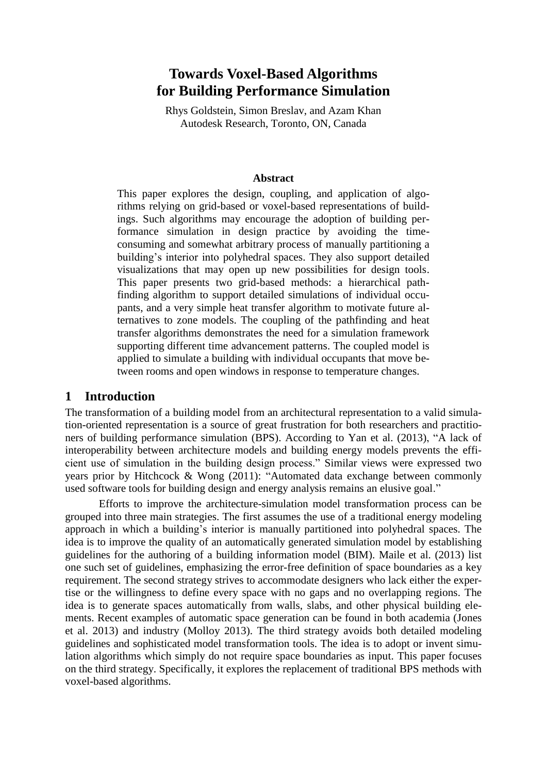# **Towards Voxel-Based Algorithms for Building Performance Simulation**

Rhys Goldstein, Simon Breslav, and Azam Khan Autodesk Research, Toronto, ON, Canada

#### **Abstract**

This paper explores the design, coupling, and application of algorithms relying on grid-based or voxel-based representations of buildings. Such algorithms may encourage the adoption of building performance simulation in design practice by avoiding the timeconsuming and somewhat arbitrary process of manually partitioning a building's interior into polyhedral spaces. They also support detailed visualizations that may open up new possibilities for design tools. This paper presents two grid-based methods: a hierarchical pathfinding algorithm to support detailed simulations of individual occupants, and a very simple heat transfer algorithm to motivate future alternatives to zone models. The coupling of the pathfinding and heat transfer algorithms demonstrates the need for a simulation framework supporting different time advancement patterns. The coupled model is applied to simulate a building with individual occupants that move between rooms and open windows in response to temperature changes.

#### **1 Introduction**

The transformation of a building model from an architectural representation to a valid simulation-oriented representation is a source of great frustration for both researchers and practitioners of building performance simulation (BPS). According to Yan et al. (2013), "A lack of interoperability between architecture models and building energy models prevents the efficient use of simulation in the building design process." Similar views were expressed two years prior by Hitchcock & Wong (2011): "Automated data exchange between commonly used software tools for building design and energy analysis remains an elusive goal."

Efforts to improve the architecture-simulation model transformation process can be grouped into three main strategies. The first assumes the use of a traditional energy modeling approach in which a building's interior is manually partitioned into polyhedral spaces. The idea is to improve the quality of an automatically generated simulation model by establishing guidelines for the authoring of a building information model (BIM). Maile et al. (2013) list one such set of guidelines, emphasizing the error-free definition of space boundaries as a key requirement. The second strategy strives to accommodate designers who lack either the expertise or the willingness to define every space with no gaps and no overlapping regions. The idea is to generate spaces automatically from walls, slabs, and other physical building elements. Recent examples of automatic space generation can be found in both academia (Jones et al. 2013) and industry (Molloy 2013). The third strategy avoids both detailed modeling guidelines and sophisticated model transformation tools. The idea is to adopt or invent simulation algorithms which simply do not require space boundaries as input. This paper focuses on the third strategy. Specifically, it explores the replacement of traditional BPS methods with voxel-based algorithms.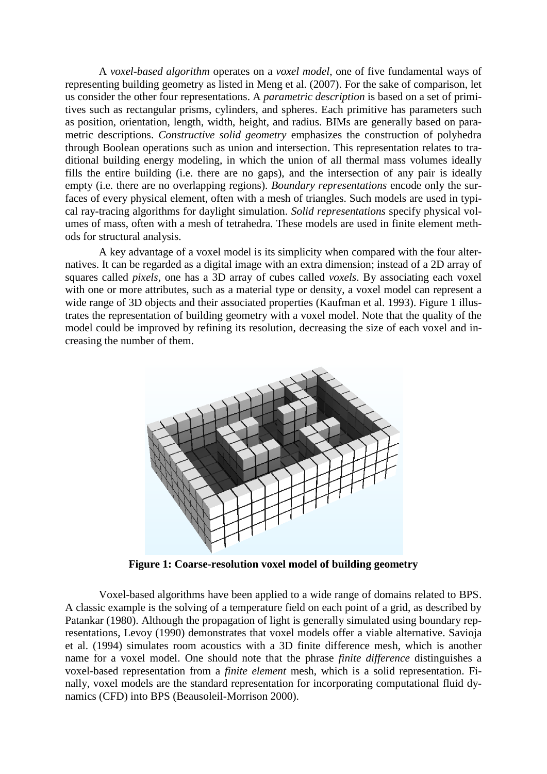A *voxel-based algorithm* operates on a *voxel model*, one of five fundamental ways of representing building geometry as listed in Meng et al. (2007). For the sake of comparison, let us consider the other four representations. A *parametric description* is based on a set of primitives such as rectangular prisms, cylinders, and spheres. Each primitive has parameters such as position, orientation, length, width, height, and radius. BIMs are generally based on parametric descriptions. *Constructive solid geometry* emphasizes the construction of polyhedra through Boolean operations such as union and intersection. This representation relates to traditional building energy modeling, in which the union of all thermal mass volumes ideally fills the entire building (i.e. there are no gaps), and the intersection of any pair is ideally empty (i.e. there are no overlapping regions). *Boundary representations* encode only the surfaces of every physical element, often with a mesh of triangles. Such models are used in typical ray-tracing algorithms for daylight simulation. *Solid representations* specify physical volumes of mass, often with a mesh of tetrahedra. These models are used in finite element methods for structural analysis.

A key advantage of a voxel model is its simplicity when compared with the four alternatives. It can be regarded as a digital image with an extra dimension; instead of a 2D array of squares called *pixels*, one has a 3D array of cubes called *voxels*. By associating each voxel with one or more attributes, such as a material type or density, a voxel model can represent a wide range of 3D objects and their associated properties (Kaufman et al. 1993). Figure 1 illustrates the representation of building geometry with a voxel model. Note that the quality of the model could be improved by refining its resolution, decreasing the size of each voxel and increasing the number of them.



**Figure 1: Coarse-resolution voxel model of building geometry**

Voxel-based algorithms have been applied to a wide range of domains related to BPS. A classic example is the solving of a temperature field on each point of a grid, as described by Patankar (1980). Although the propagation of light is generally simulated using boundary representations, Levoy (1990) demonstrates that voxel models offer a viable alternative. Savioja et al. (1994) simulates room acoustics with a 3D finite difference mesh, which is another name for a voxel model. One should note that the phrase *finite difference* distinguishes a voxel-based representation from a *finite element* mesh, which is a solid representation. Finally, voxel models are the standard representation for incorporating computational fluid dynamics (CFD) into BPS (Beausoleil-Morrison 2000).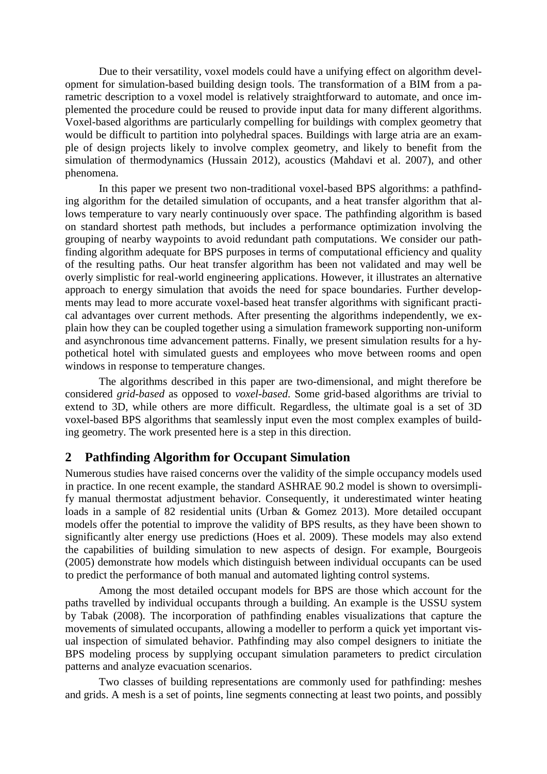Due to their versatility, voxel models could have a unifying effect on algorithm development for simulation-based building design tools. The transformation of a BIM from a parametric description to a voxel model is relatively straightforward to automate, and once implemented the procedure could be reused to provide input data for many different algorithms. Voxel-based algorithms are particularly compelling for buildings with complex geometry that would be difficult to partition into polyhedral spaces. Buildings with large atria are an example of design projects likely to involve complex geometry, and likely to benefit from the simulation of thermodynamics (Hussain 2012), acoustics (Mahdavi et al. 2007), and other phenomena.

In this paper we present two non-traditional voxel-based BPS algorithms: a pathfinding algorithm for the detailed simulation of occupants, and a heat transfer algorithm that allows temperature to vary nearly continuously over space. The pathfinding algorithm is based on standard shortest path methods, but includes a performance optimization involving the grouping of nearby waypoints to avoid redundant path computations. We consider our pathfinding algorithm adequate for BPS purposes in terms of computational efficiency and quality of the resulting paths. Our heat transfer algorithm has been not validated and may well be overly simplistic for real-world engineering applications. However, it illustrates an alternative approach to energy simulation that avoids the need for space boundaries. Further developments may lead to more accurate voxel-based heat transfer algorithms with significant practical advantages over current methods. After presenting the algorithms independently, we explain how they can be coupled together using a simulation framework supporting non-uniform and asynchronous time advancement patterns. Finally, we present simulation results for a hypothetical hotel with simulated guests and employees who move between rooms and open windows in response to temperature changes.

The algorithms described in this paper are two-dimensional, and might therefore be considered *grid-based* as opposed to *voxel-based*. Some grid-based algorithms are trivial to extend to 3D, while others are more difficult. Regardless, the ultimate goal is a set of 3D voxel-based BPS algorithms that seamlessly input even the most complex examples of building geometry. The work presented here is a step in this direction.

#### **2 Pathfinding Algorithm for Occupant Simulation**

Numerous studies have raised concerns over the validity of the simple occupancy models used in practice. In one recent example, the standard ASHRAE 90.2 model is shown to oversimplify manual thermostat adjustment behavior. Consequently, it underestimated winter heating loads in a sample of 82 residential units (Urban & Gomez 2013). More detailed occupant models offer the potential to improve the validity of BPS results, as they have been shown to significantly alter energy use predictions (Hoes et al. 2009). These models may also extend the capabilities of building simulation to new aspects of design. For example, Bourgeois (2005) demonstrate how models which distinguish between individual occupants can be used to predict the performance of both manual and automated lighting control systems.

Among the most detailed occupant models for BPS are those which account for the paths travelled by individual occupants through a building. An example is the USSU system by Tabak (2008). The incorporation of pathfinding enables visualizations that capture the movements of simulated occupants, allowing a modeller to perform a quick yet important visual inspection of simulated behavior. Pathfinding may also compel designers to initiate the BPS modeling process by supplying occupant simulation parameters to predict circulation patterns and analyze evacuation scenarios.

Two classes of building representations are commonly used for pathfinding: meshes and grids. A mesh is a set of points, line segments connecting at least two points, and possibly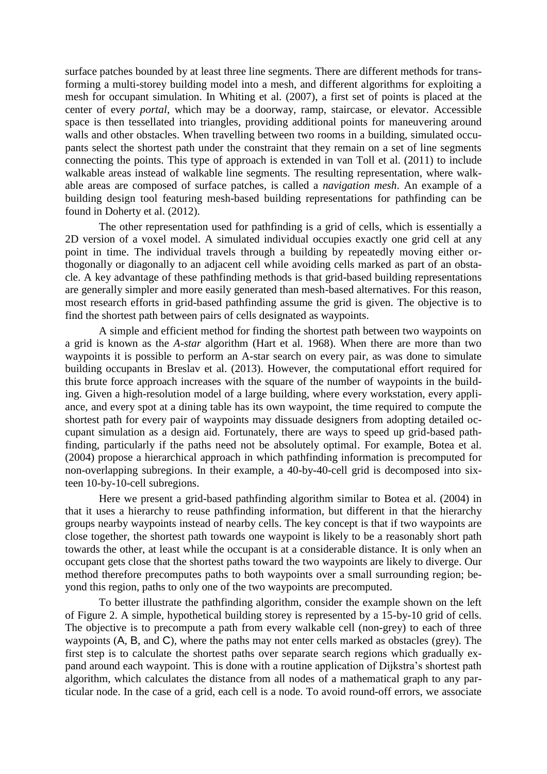surface patches bounded by at least three line segments. There are different methods for transforming a multi-storey building model into a mesh, and different algorithms for exploiting a mesh for occupant simulation. In Whiting et al. (2007), a first set of points is placed at the center of every *portal*, which may be a doorway, ramp, staircase, or elevator. Accessible space is then tessellated into triangles, providing additional points for maneuvering around walls and other obstacles. When travelling between two rooms in a building, simulated occupants select the shortest path under the constraint that they remain on a set of line segments connecting the points. This type of approach is extended in van Toll et al. (2011) to include walkable areas instead of walkable line segments. The resulting representation, where walkable areas are composed of surface patches, is called a *navigation mesh*. An example of a building design tool featuring mesh-based building representations for pathfinding can be found in Doherty et al. (2012).

The other representation used for pathfinding is a grid of cells, which is essentially a 2D version of a voxel model. A simulated individual occupies exactly one grid cell at any point in time. The individual travels through a building by repeatedly moving either orthogonally or diagonally to an adjacent cell while avoiding cells marked as part of an obstacle. A key advantage of these pathfinding methods is that grid-based building representations are generally simpler and more easily generated than mesh-based alternatives. For this reason, most research efforts in grid-based pathfinding assume the grid is given. The objective is to find the shortest path between pairs of cells designated as waypoints.

A simple and efficient method for finding the shortest path between two waypoints on a grid is known as the *A-star* algorithm (Hart et al. 1968). When there are more than two waypoints it is possible to perform an A-star search on every pair, as was done to simulate building occupants in Breslav et al. (2013). However, the computational effort required for this brute force approach increases with the square of the number of waypoints in the building. Given a high-resolution model of a large building, where every workstation, every appliance, and every spot at a dining table has its own waypoint, the time required to compute the shortest path for every pair of waypoints may dissuade designers from adopting detailed occupant simulation as a design aid. Fortunately, there are ways to speed up grid-based pathfinding, particularly if the paths need not be absolutely optimal. For example, Botea et al. (2004) propose a hierarchical approach in which pathfinding information is precomputed for non-overlapping subregions. In their example, a 40-by-40-cell grid is decomposed into sixteen 10-by-10-cell subregions.

Here we present a grid-based pathfinding algorithm similar to Botea et al. (2004) in that it uses a hierarchy to reuse pathfinding information, but different in that the hierarchy groups nearby waypoints instead of nearby cells. The key concept is that if two waypoints are close together, the shortest path towards one waypoint is likely to be a reasonably short path towards the other, at least while the occupant is at a considerable distance. It is only when an occupant gets close that the shortest paths toward the two waypoints are likely to diverge. Our method therefore precomputes paths to both waypoints over a small surrounding region; beyond this region, paths to only one of the two waypoints are precomputed.

To better illustrate the pathfinding algorithm, consider the example shown on the left of Figure 2. A simple, hypothetical building storey is represented by a 15-by-10 grid of cells. The objective is to precompute a path from every walkable cell (non-grey) to each of three waypoints (A, B, and C), where the paths may not enter cells marked as obstacles (grey). The first step is to calculate the shortest paths over separate search regions which gradually expand around each waypoint. This is done with a routine application of Dijkstra's shortest path algorithm, which calculates the distance from all nodes of a mathematical graph to any particular node. In the case of a grid, each cell is a node. To avoid round-off errors, we associate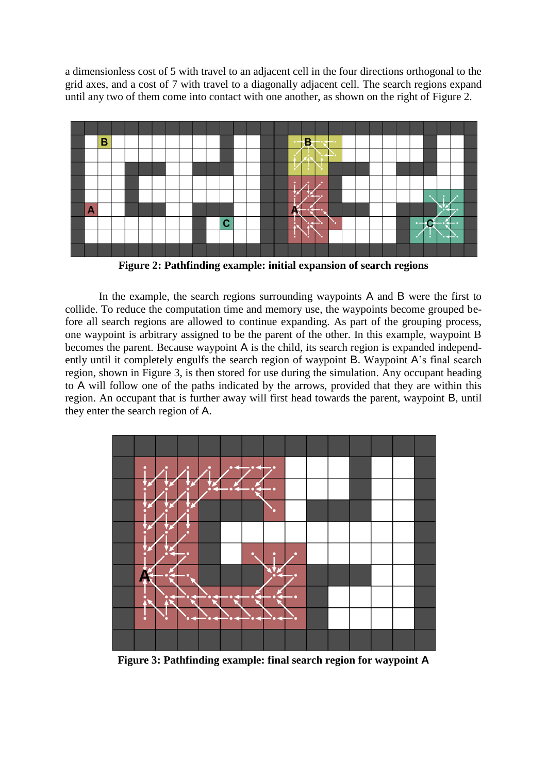a dimensionless cost of 5 with travel to an adjacent cell in the four directions orthogonal to the grid axes, and a cost of 7 with travel to a diagonally adjacent cell. The search regions expand until any two of them come into contact with one another, as shown on the right of Figure 2.



**Figure 2: Pathfinding example: initial expansion of search regions**

In the example, the search regions surrounding waypoints A and B were the first to collide. To reduce the computation time and memory use, the waypoints become grouped before all search regions are allowed to continue expanding. As part of the grouping process, one waypoint is arbitrary assigned to be the parent of the other. In this example, waypoint B becomes the parent. Because waypoint A is the child, its search region is expanded independently until it completely engulfs the search region of waypoint B. Waypoint A's final search region, shown in Figure 3, is then stored for use during the simulation. Any occupant heading to A will follow one of the paths indicated by the arrows, provided that they are within this region. An occupant that is further away will first head towards the parent, waypoint B, until they enter the search region of A.



**Figure 3: Pathfinding example: final search region for waypoint A**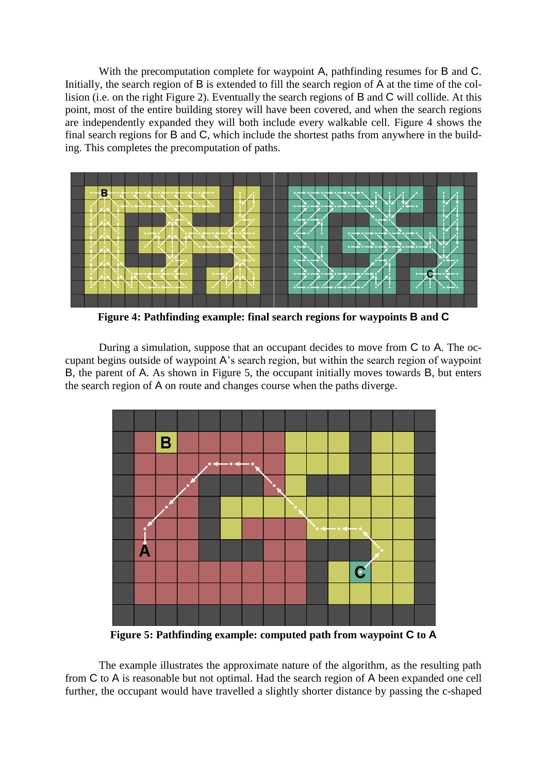With the precomputation complete for waypoint A, pathfinding resumes for B and C. Initially, the search region of B is extended to fill the search region of A at the time of the collision (i.e. on the right Figure 2). Eventually the search regions of B and C will collide. At this point, most of the entire building storey will have been covered, and when the search regions are independently expanded they will both include every walkable cell. Figure 4 shows the final search regions for B and C, which include the shortest paths from anywhere in the building. This completes the precomputation of paths.



**Figure 4: Pathfinding example: final search regions for waypoints B and C**

During a simulation, suppose that an occupant decides to move from C to A. The occupant begins outside of waypoint A's search region, but within the search region of waypoint B, the parent of A. As shown in Figure 5, the occupant initially moves towards B, but enters the search region of A on route and changes course when the paths diverge.



**Figure 5: Pathfinding example: computed path from waypoint C to A**

The example illustrates the approximate nature of the algorithm, as the resulting path from C to A is reasonable but not optimal. Had the search region of A been expanded one cell further, the occupant would have travelled a slightly shorter distance by passing the c-shaped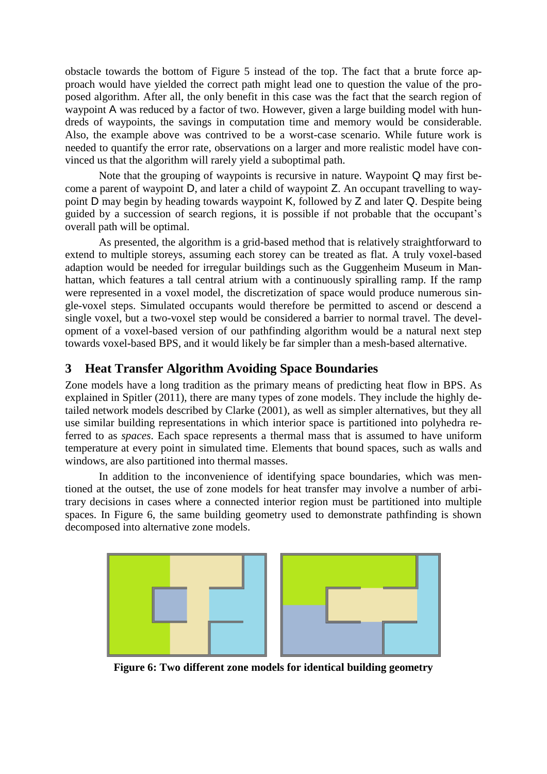obstacle towards the bottom of Figure 5 instead of the top. The fact that a brute force approach would have yielded the correct path might lead one to question the value of the proposed algorithm. After all, the only benefit in this case was the fact that the search region of waypoint A was reduced by a factor of two. However, given a large building model with hundreds of waypoints, the savings in computation time and memory would be considerable. Also, the example above was contrived to be a worst-case scenario. While future work is needed to quantify the error rate, observations on a larger and more realistic model have convinced us that the algorithm will rarely yield a suboptimal path.

Note that the grouping of waypoints is recursive in nature. Waypoint Q may first become a parent of waypoint D, and later a child of waypoint Z. An occupant travelling to waypoint D may begin by heading towards waypoint K, followed by Z and later Q. Despite being guided by a succession of search regions, it is possible if not probable that the occupant's overall path will be optimal.

As presented, the algorithm is a grid-based method that is relatively straightforward to extend to multiple storeys, assuming each storey can be treated as flat. A truly voxel-based adaption would be needed for irregular buildings such as the Guggenheim Museum in Manhattan, which features a tall central atrium with a continuously spiralling ramp. If the ramp were represented in a voxel model, the discretization of space would produce numerous single-voxel steps. Simulated occupants would therefore be permitted to ascend or descend a single voxel, but a two-voxel step would be considered a barrier to normal travel. The development of a voxel-based version of our pathfinding algorithm would be a natural next step towards voxel-based BPS, and it would likely be far simpler than a mesh-based alternative.

### **3 Heat Transfer Algorithm Avoiding Space Boundaries**

Zone models have a long tradition as the primary means of predicting heat flow in BPS. As explained in Spitler (2011), there are many types of zone models. They include the highly detailed network models described by Clarke (2001), as well as simpler alternatives, but they all use similar building representations in which interior space is partitioned into polyhedra referred to as *spaces*. Each space represents a thermal mass that is assumed to have uniform temperature at every point in simulated time. Elements that bound spaces, such as walls and windows, are also partitioned into thermal masses.

In addition to the inconvenience of identifying space boundaries, which was mentioned at the outset, the use of zone models for heat transfer may involve a number of arbitrary decisions in cases where a connected interior region must be partitioned into multiple spaces. In Figure 6, the same building geometry used to demonstrate pathfinding is shown decomposed into alternative zone models.



**Figure 6: Two different zone models for identical building geometry**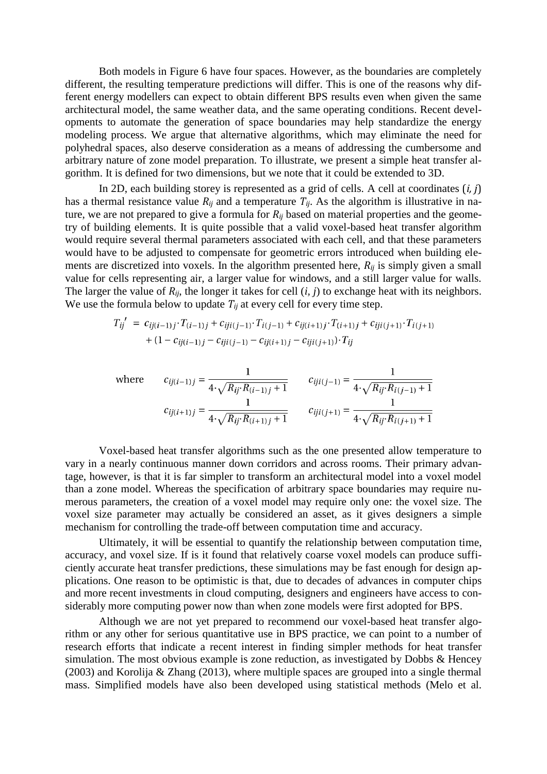Both models in Figure 6 have four spaces. However, as the boundaries are completely different, the resulting temperature predictions will differ. This is one of the reasons why different energy modellers can expect to obtain different BPS results even when given the same architectural model, the same weather data, and the same operating conditions. Recent developments to automate the generation of space boundaries may help standardize the energy modeling process. We argue that alternative algorithms, which may eliminate the need for polyhedral spaces, also deserve consideration as a means of addressing the cumbersome and arbitrary nature of zone model preparation. To illustrate, we present a simple heat transfer algorithm. It is defined for two dimensions, but we note that it could be extended to 3D.

In 2D, each building storey is represented as a grid of cells. A cell at coordinates (*i, j*) has a thermal resistance value  $R_{ij}$  and a temperature  $T_{ij}$ . As the algorithm is illustrative in nature, we are not prepared to give a formula for *Rij* based on material properties and the geometry of building elements. It is quite possible that a valid voxel-based heat transfer algorithm would require several thermal parameters associated with each cell, and that these parameters would have to be adjusted to compensate for geometric errors introduced when building elements are discretized into voxels. In the algorithm presented here, *Rij* is simply given a small value for cells representing air, a larger value for windows, and a still larger value for walls. The larger the value of *Rij*, the longer it takes for cell (*i, j*) to exchange heat with its neighbors. We use the formula below to update  $T_{ij}$  at every cell for every time step.

$$
T_{ij}' = c_{ij(i-1)j} \cdot T_{(i-1)j} + c_{iji(j-1)} \cdot T_{i(j-1)} + c_{ij(i+1)j} \cdot T_{(i+1)j} + c_{iji(j+1)} \cdot T_{i(j+1)} + (1 - c_{ij(i-1)j} - c_{iji(j-1)} - c_{ij(i+1)j} - c_{iji(j+1)}) \cdot T_{ij}
$$

where 
$$
c_{ij(i-1)j} = \frac{1}{4 \cdot \sqrt{R_{ij} \cdot R_{(i-1)j} + 1}}
$$
  $c_{iji(j-1)} = \frac{1}{4 \cdot \sqrt{R_{ij} \cdot R_{i(j-1)} + 1}}$   
 $c_{ij(i+1)j} = \frac{1}{4 \cdot \sqrt{R_{ij} \cdot R_{(i+1)j} + 1}}$   $c_{iji(j+1)} = \frac{1}{4 \cdot \sqrt{R_{ij} \cdot R_{i(j+1)} + 1}}$ 

Voxel-based heat transfer algorithms such as the one presented allow temperature to vary in a nearly continuous manner down corridors and across rooms. Their primary advantage, however, is that it is far simpler to transform an architectural model into a voxel model than a zone model. Whereas the specification of arbitrary space boundaries may require numerous parameters, the creation of a voxel model may require only one: the voxel size. The voxel size parameter may actually be considered an asset, as it gives designers a simple mechanism for controlling the trade-off between computation time and accuracy.

Ultimately, it will be essential to quantify the relationship between computation time, accuracy, and voxel size. If is it found that relatively coarse voxel models can produce sufficiently accurate heat transfer predictions, these simulations may be fast enough for design applications. One reason to be optimistic is that, due to decades of advances in computer chips and more recent investments in cloud computing, designers and engineers have access to considerably more computing power now than when zone models were first adopted for BPS.

Although we are not yet prepared to recommend our voxel-based heat transfer algorithm or any other for serious quantitative use in BPS practice, we can point to a number of research efforts that indicate a recent interest in finding simpler methods for heat transfer simulation. The most obvious example is zone reduction, as investigated by Dobbs & Hencey (2003) and Korolija & Zhang (2013), where multiple spaces are grouped into a single thermal mass. Simplified models have also been developed using statistical methods (Melo et al.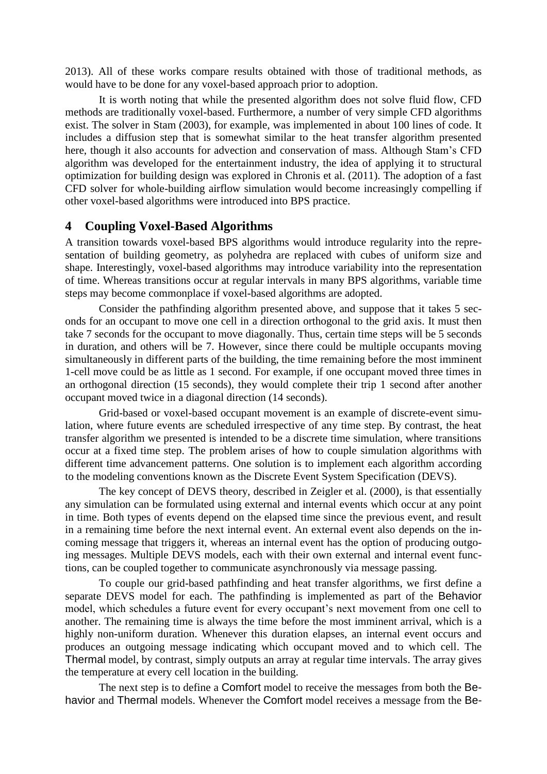2013). All of these works compare results obtained with those of traditional methods, as would have to be done for any voxel-based approach prior to adoption.

It is worth noting that while the presented algorithm does not solve fluid flow, CFD methods are traditionally voxel-based. Furthermore, a number of very simple CFD algorithms exist. The solver in Stam (2003), for example, was implemented in about 100 lines of code. It includes a diffusion step that is somewhat similar to the heat transfer algorithm presented here, though it also accounts for advection and conservation of mass. Although Stam's CFD algorithm was developed for the entertainment industry, the idea of applying it to structural optimization for building design was explored in Chronis et al. (2011). The adoption of a fast CFD solver for whole-building airflow simulation would become increasingly compelling if other voxel-based algorithms were introduced into BPS practice.

#### **4 Coupling Voxel-Based Algorithms**

A transition towards voxel-based BPS algorithms would introduce regularity into the representation of building geometry, as polyhedra are replaced with cubes of uniform size and shape. Interestingly, voxel-based algorithms may introduce variability into the representation of time. Whereas transitions occur at regular intervals in many BPS algorithms, variable time steps may become commonplace if voxel-based algorithms are adopted.

Consider the pathfinding algorithm presented above, and suppose that it takes 5 seconds for an occupant to move one cell in a direction orthogonal to the grid axis. It must then take 7 seconds for the occupant to move diagonally. Thus, certain time steps will be 5 seconds in duration, and others will be 7. However, since there could be multiple occupants moving simultaneously in different parts of the building, the time remaining before the most imminent 1-cell move could be as little as 1 second. For example, if one occupant moved three times in an orthogonal direction (15 seconds), they would complete their trip 1 second after another occupant moved twice in a diagonal direction (14 seconds).

Grid-based or voxel-based occupant movement is an example of discrete-event simulation, where future events are scheduled irrespective of any time step. By contrast, the heat transfer algorithm we presented is intended to be a discrete time simulation, where transitions occur at a fixed time step. The problem arises of how to couple simulation algorithms with different time advancement patterns. One solution is to implement each algorithm according to the modeling conventions known as the Discrete Event System Specification (DEVS).

The key concept of DEVS theory, described in Zeigler et al. (2000), is that essentially any simulation can be formulated using external and internal events which occur at any point in time. Both types of events depend on the elapsed time since the previous event, and result in a remaining time before the next internal event. An external event also depends on the incoming message that triggers it, whereas an internal event has the option of producing outgoing messages. Multiple DEVS models, each with their own external and internal event functions, can be coupled together to communicate asynchronously via message passing.

To couple our grid-based pathfinding and heat transfer algorithms, we first define a separate DEVS model for each. The pathfinding is implemented as part of the Behavior model, which schedules a future event for every occupant's next movement from one cell to another. The remaining time is always the time before the most imminent arrival, which is a highly non-uniform duration. Whenever this duration elapses, an internal event occurs and produces an outgoing message indicating which occupant moved and to which cell. The Thermal model, by contrast, simply outputs an array at regular time intervals. The array gives the temperature at every cell location in the building.

The next step is to define a Comfort model to receive the messages from both the Behavior and Thermal models. Whenever the Comfort model receives a message from the Be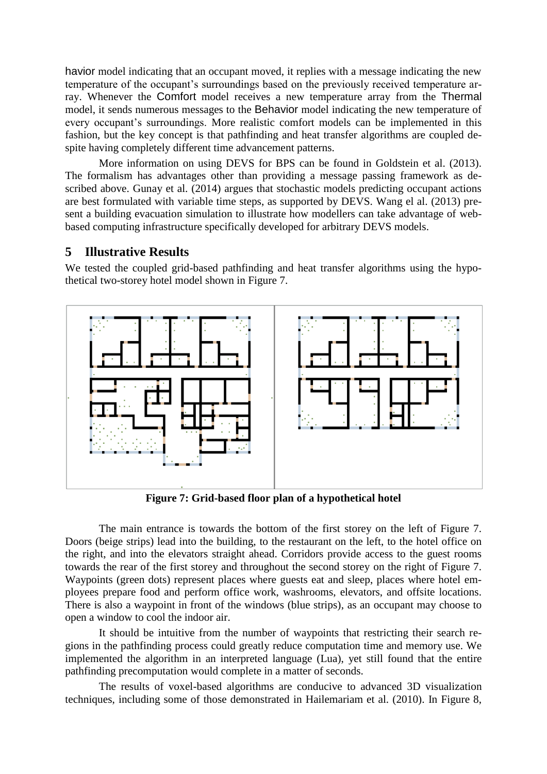havior model indicating that an occupant moved, it replies with a message indicating the new temperature of the occupant's surroundings based on the previously received temperature array. Whenever the Comfort model receives a new temperature array from the Thermal model, it sends numerous messages to the Behavior model indicating the new temperature of every occupant's surroundings. More realistic comfort models can be implemented in this fashion, but the key concept is that pathfinding and heat transfer algorithms are coupled despite having completely different time advancement patterns.

More information on using DEVS for BPS can be found in Goldstein et al. (2013). The formalism has advantages other than providing a message passing framework as described above. Gunay et al. (2014) argues that stochastic models predicting occupant actions are best formulated with variable time steps, as supported by DEVS. Wang el al. (2013) present a building evacuation simulation to illustrate how modellers can take advantage of webbased computing infrastructure specifically developed for arbitrary DEVS models.

### **5 Illustrative Results**

We tested the coupled grid-based pathfinding and heat transfer algorithms using the hypothetical two-storey hotel model shown in Figure 7.



**Figure 7: Grid-based floor plan of a hypothetical hotel**

The main entrance is towards the bottom of the first storey on the left of Figure 7. Doors (beige strips) lead into the building, to the restaurant on the left, to the hotel office on the right, and into the elevators straight ahead. Corridors provide access to the guest rooms towards the rear of the first storey and throughout the second storey on the right of Figure 7. Waypoints (green dots) represent places where guests eat and sleep, places where hotel employees prepare food and perform office work, washrooms, elevators, and offsite locations. There is also a waypoint in front of the windows (blue strips), as an occupant may choose to open a window to cool the indoor air.

It should be intuitive from the number of waypoints that restricting their search regions in the pathfinding process could greatly reduce computation time and memory use. We implemented the algorithm in an interpreted language (Lua), yet still found that the entire pathfinding precomputation would complete in a matter of seconds.

The results of voxel-based algorithms are conducive to advanced 3D visualization techniques, including some of those demonstrated in Hailemariam et al. (2010). In Figure 8,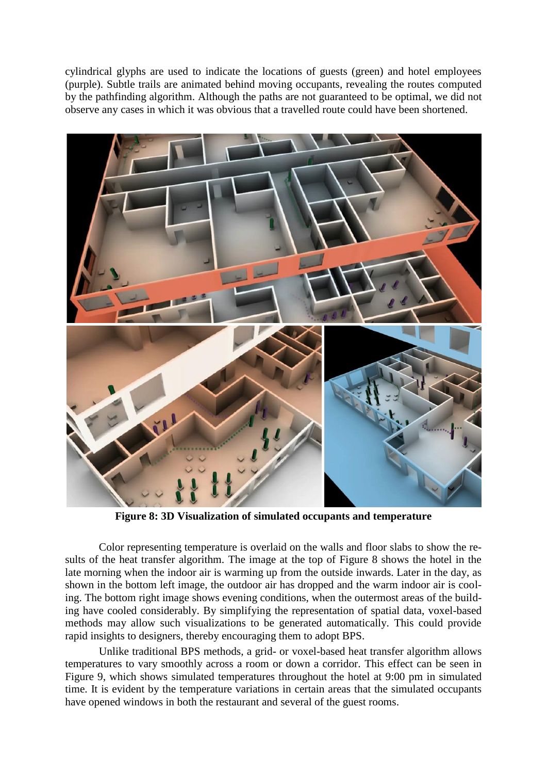cylindrical glyphs are used to indicate the locations of guests (green) and hotel employees (purple). Subtle trails are animated behind moving occupants, revealing the routes computed by the pathfinding algorithm. Although the paths are not guaranteed to be optimal, we did not observe any cases in which it was obvious that a travelled route could have been shortened.



**Figure 8: 3D Visualization of simulated occupants and temperature**

Color representing temperature is overlaid on the walls and floor slabs to show the results of the heat transfer algorithm. The image at the top of Figure 8 shows the hotel in the late morning when the indoor air is warming up from the outside inwards. Later in the day, as shown in the bottom left image, the outdoor air has dropped and the warm indoor air is cooling. The bottom right image shows evening conditions, when the outermost areas of the building have cooled considerably. By simplifying the representation of spatial data, voxel-based methods may allow such visualizations to be generated automatically. This could provide rapid insights to designers, thereby encouraging them to adopt BPS.

Unlike traditional BPS methods, a grid- or voxel-based heat transfer algorithm allows temperatures to vary smoothly across a room or down a corridor. This effect can be seen in Figure 9, which shows simulated temperatures throughout the hotel at 9:00 pm in simulated time. It is evident by the temperature variations in certain areas that the simulated occupants have opened windows in both the restaurant and several of the guest rooms.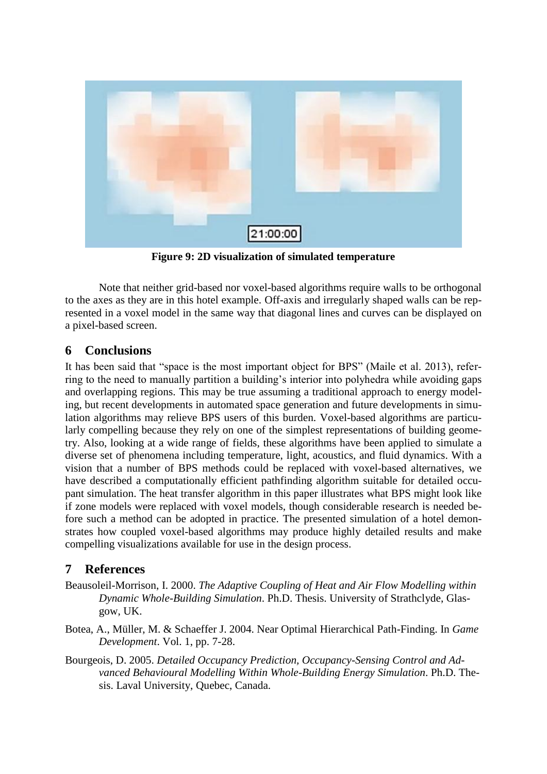

**Figure 9: 2D visualization of simulated temperature**

Note that neither grid-based nor voxel-based algorithms require walls to be orthogonal to the axes as they are in this hotel example. Off-axis and irregularly shaped walls can be represented in a voxel model in the same way that diagonal lines and curves can be displayed on a pixel-based screen.

### **6 Conclusions**

It has been said that "space is the most important object for BPS" (Maile et al. 2013), referring to the need to manually partition a building's interior into polyhedra while avoiding gaps and overlapping regions. This may be true assuming a traditional approach to energy modeling, but recent developments in automated space generation and future developments in simulation algorithms may relieve BPS users of this burden. Voxel-based algorithms are particularly compelling because they rely on one of the simplest representations of building geometry. Also, looking at a wide range of fields, these algorithms have been applied to simulate a diverse set of phenomena including temperature, light, acoustics, and fluid dynamics. With a vision that a number of BPS methods could be replaced with voxel-based alternatives, we have described a computationally efficient pathfinding algorithm suitable for detailed occupant simulation. The heat transfer algorithm in this paper illustrates what BPS might look like if zone models were replaced with voxel models, though considerable research is needed before such a method can be adopted in practice. The presented simulation of a hotel demonstrates how coupled voxel-based algorithms may produce highly detailed results and make compelling visualizations available for use in the design process.

## **7 References**

- Beausoleil-Morrison, I. 2000. *The Adaptive Coupling of Heat and Air Flow Modelling within Dynamic Whole-Building Simulation*. Ph.D. Thesis. University of Strathclyde, Glasgow, UK.
- Botea, A., Müller, M. & Schaeffer J. 2004. Near Optimal Hierarchical Path-Finding. In *Game Development*. Vol. 1, pp. 7-28.
- Bourgeois, D. 2005. *Detailed Occupancy Prediction, Occupancy-Sensing Control and Advanced Behavioural Modelling Within Whole-Building Energy Simulation*. Ph.D. Thesis. Laval University, Quebec, Canada.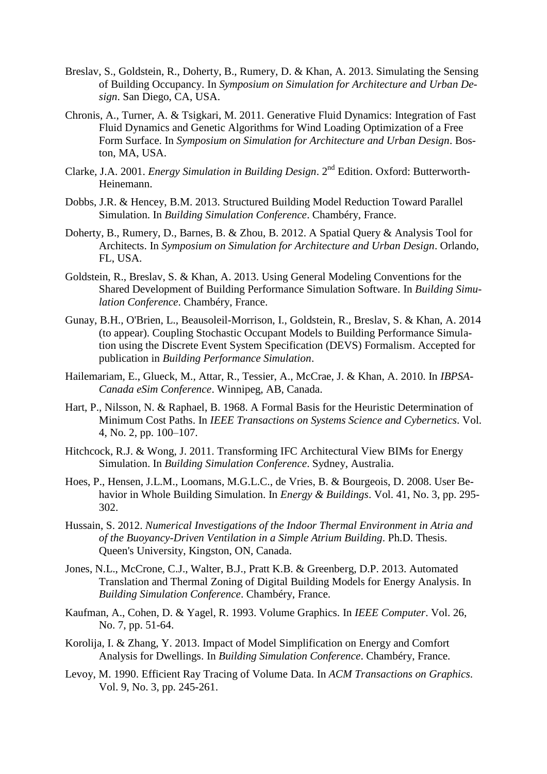- Breslav, S., Goldstein, R., Doherty, B., Rumery, D. & Khan, A. 2013. Simulating the Sensing of Building Occupancy. In *Symposium on Simulation for Architecture and Urban Design*. San Diego, CA, USA.
- Chronis, A., Turner, A. & Tsigkari, M. 2011. Generative Fluid Dynamics: Integration of Fast Fluid Dynamics and Genetic Algorithms for Wind Loading Optimization of a Free Form Surface. In *Symposium on Simulation for Architecture and Urban Design*. Boston, MA, USA.
- Clarke, J.A. 2001. *Energy Simulation in Building Design*. 2<sup>nd</sup> Edition. Oxford: Butterworth-Heinemann.
- Dobbs, J.R. & Hencey, B.M. 2013. Structured Building Model Reduction Toward Parallel Simulation. In *Building Simulation Conference*. Chambéry, France.
- Doherty, B., Rumery, D., Barnes, B. & Zhou, B. 2012. A Spatial Query & Analysis Tool for Architects. In *Symposium on Simulation for Architecture and Urban Design*. Orlando, FL, USA.
- Goldstein, R., Breslav, S. & Khan, A. 2013. Using General Modeling Conventions for the Shared Development of Building Performance Simulation Software. In *Building Simulation Conference*. Chambéry, France.
- Gunay, B.H., O'Brien, L., Beausoleil-Morrison, I., Goldstein, R., Breslav, S. & Khan, A. 2014 (to appear). Coupling Stochastic Occupant Models to Building Performance Simulation using the Discrete Event System Specification (DEVS) Formalism. Accepted for publication in *Building Performance Simulation*.
- Hailemariam, E., Glueck, M., Attar, R., Tessier, A., McCrae, J. & Khan, A. 2010. In *IBPSA-Canada eSim Conference*. Winnipeg, AB, Canada.
- Hart, P., Nilsson, N. & Raphael, B. 1968. A Formal Basis for the Heuristic Determination of Minimum Cost Paths. In *IEEE Transactions on Systems Science and Cybernetics*. Vol. 4, No. 2, pp. 100–107.
- Hitchcock, R.J. & Wong, J. 2011. Transforming IFC Architectural View BIMs for Energy Simulation. In *Building Simulation Conference*. Sydney, Australia.
- Hoes, P., Hensen, J.L.M., Loomans, M.G.L.C., de Vries, B. & Bourgeois, D. 2008. User Behavior in Whole Building Simulation. In *Energy & Buildings*. Vol. 41, No. 3, pp. 295- 302.
- Hussain, S. 2012. *Numerical Investigations of the Indoor Thermal Environment in Atria and of the Buoyancy-Driven Ventilation in a Simple Atrium Building*. Ph.D. Thesis. Queen's University, Kingston, ON, Canada.
- Jones, N.L., McCrone, C.J., Walter, B.J., Pratt K.B. & Greenberg, D.P. 2013. Automated Translation and Thermal Zoning of Digital Building Models for Energy Analysis. In *Building Simulation Conference*. Chambéry, France.
- Kaufman, A., Cohen, D. & Yagel, R. 1993. Volume Graphics. In *IEEE Computer*. Vol. 26, No. 7, pp. 51-64.
- Korolija, I. & Zhang, Y. 2013. Impact of Model Simplification on Energy and Comfort Analysis for Dwellings. In *Building Simulation Conference*. Chambéry, France.
- Levoy, M. 1990. Efficient Ray Tracing of Volume Data. In *ACM Transactions on Graphics*. Vol. 9, No. 3, pp. 245-261.